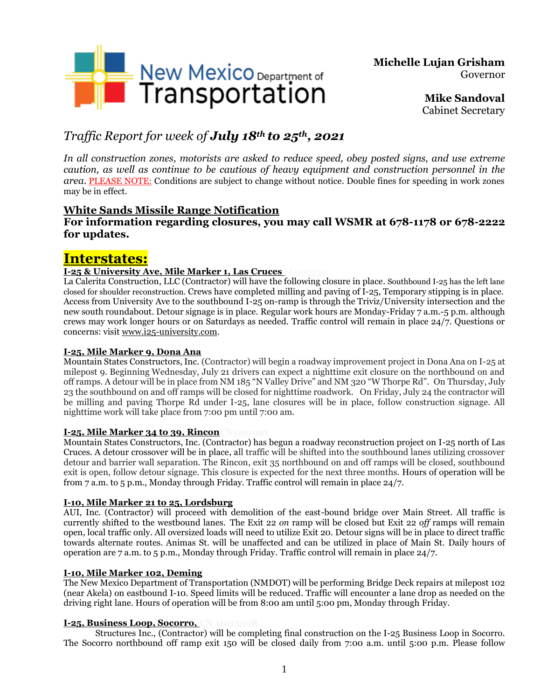

**Michelle Lujan Grisham** Governor

> **Mike Sandoval** Cabinet Secretary

# *Traffic Report for week of July 18th to 25th , 2021*

*In all construction zones, motorists are asked to reduce speed, obey posted signs, and use extreme caution, as well as continue to be cautious of heavy equipment and construction personnel in the area.* PLEASE NOTE: Conditions are subject to change without notice. Double fines for speeding in work zones may be in effect.

### **White Sands Missile Range Notification**

### **For information regarding closures, you may call WSMR at 678-1178 or 678-2222 for updates.**

# **Interstates:**

#### **I-25 & University Ave, Mile Marker 1, Las Cruces**

La Calerita Construction, LLC (Contractor) will have the following closure in place. Southbound I-25 has the left lane closed for shoulder reconstruction. Crews have completed milling and paving of I-25, Temporary stipping is in place. Access from University Ave to the southbound I-25 on-ramp is through the Triviz/University intersection and the new south roundabout. Detour signage is in place. Regular work hours are Monday-Friday 7 a.m.-5 p.m. although crews may work longer hours or on Saturdays as needed. Traffic control will remain in place 24/7. Questions or concerns: visit [www.i25-university.com.](http://www.i25-university.com/)

#### **I-25, Mile Marker 9, Dona Ana**

Mountain States Constructors, Inc. (Contractor) will begin a roadway improvement project in Dona Ana on I-25 at milepost 9. Beginning Wednesday, July 21 drivers can expect a nighttime exit closure on the northbound on and off ramps. A detour will be in place from NM 185 "N Valley Drive" and NM 320 "W Thorpe Rd". On Thursday, July 23 the southbound on and off ramps will be closed for nighttime roadwork. On Friday, July 24 the contractor will be milling and paving Thorpe Rd under I-25, lane closures will be in place, follow construction signage. All nighttime work will take place from 7:00 pm until 7:00 am.

#### **I-25, Mile Marker 34 to 39, Rincon**

Mountain States Constructors, Inc. (Contractor) has begun a roadway reconstruction project on I-25 north of Las Cruces. A detour crossover will be in place, all traffic will be shifted into the southbound lanes utilizing crossover detour and barrier wall separation. The Rincon, exit 35 northbound on and off ramps will be closed, southbound exit is open, follow detour signage. This closure is expected for the next three months. Hours of operation will be from 7 a.m. to 5 p.m., Monday through Friday. Traffic control will remain in place 24/7.

#### **I-10, Mile Marker 21 to 25, Lordsburg**

AUI, Inc. (Contractor) will proceed with demolition of the east-bound bridge over Main Street. All traffic is currently shifted to the westbound lanes. The Exit 22 *on* ramp will be closed but Exit 22 *off* ramps will remain open, local traffic only. All oversized loads will need to utilize Exit 20. Detour signs will be in place to direct traffic towards alternate routes. Animas St. will be unaffected and can be utilized in place of Main St. Daily hours of operation are 7 a.m. to 5 p.m., Monday through Friday. Traffic control will remain in place 24/7.

#### **I-10, Mile Marker 102, Deming**

The New Mexico Department of Transportation (NMDOT) will be performing Bridge Deck repairs at milepost 102 (near Akela) on eastbound I-10. Speed limits will be reduced. Traffic will encounter a lane drop as needed on the driving right lane. Hours of operation will be from 8:00 am until 5:00 pm, Monday through Friday.

#### **I-25, Business Loop, Socorro, CN 1101550R**

Structures Inc., (Contractor) will be completing final construction on the I-25 Business Loop in Socorro. The Socorro northbound off ramp exit 150 will be closed daily from 7:00 a.m. until 5:00 p.m. Please follow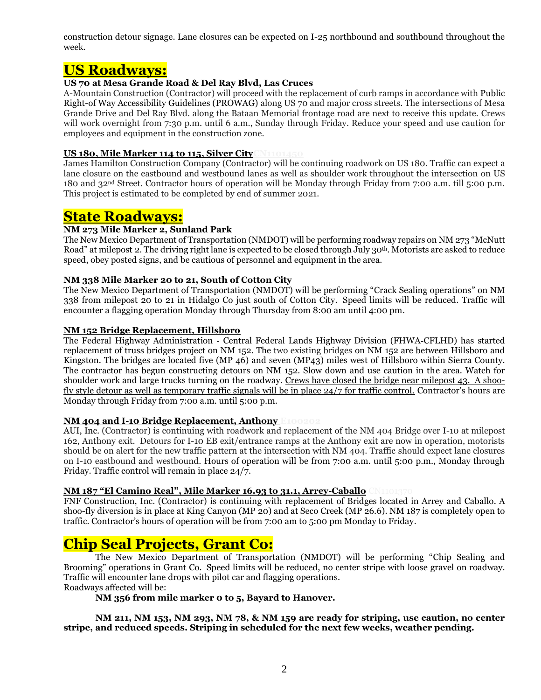construction detour signage. Lane closures can be expected on I-25 northbound and southbound throughout the week.

### **US Roadways:**

#### **US 70 at Mesa Grande Road & Del Ray Blvd, Las Cruces**

A-Mountain Construction (Contractor) will proceed with the replacement of curb ramps in accordance with Public Right-of Way Accessibility Guidelines (PROWAG) along US 70 and major cross streets. The intersections of Mesa Grande Drive and Del Ray Blvd. along the Bataan Memorial frontage road are next to receive this update. Crews will work overnight from 7:30 p.m. until 6 a.m., Sunday through Friday. Reduce your speed and use caution for employees and equipment in the construction zone.

#### **US 180, Mile Marker 114 to 115, Silver CityCN1101450**

James Hamilton Construction Company (Contractor) will be continuing roadwork on US 180. Traffic can expect a lane closure on the eastbound and westbound lanes as well as shoulder work throughout the intersection on US 180 and 32nd Street. Contractor hours of operation will be Monday through Friday from 7:00 a.m. till 5:00 p.m. This project is estimated to be completed by end of summer 2021.

## **State Roadways:**

#### **NM 273 Mile Marker 2, Sunland Park**

The New Mexico Department of Transportation (NMDOT) will be performing roadway repairs on NM 273 "McNutt Road" at milepost 2. The driving right lane is expected to be closed through July 30th. Motorists are asked to reduce speed, obey posted signs, and be cautious of personnel and equipment in the area.

#### **NM 338 Mile Marker 20 to 21, South of Cotton City**

The New Mexico Department of Transportation (NMDOT) will be performing "Crack Sealing operations" on NM 338 from milepost 20 to 21 in Hidalgo Co just south of Cotton City. Speed limits will be reduced. Traffic will encounter a flagging operation Monday through Thursday from 8:00 am until 4:00 pm.

#### **NM 152 Bridge Replacement, Hillsboro**

The Federal Highway Administration ‐ Central Federal Lands Highway Division (FHWA‐CFLHD) has started replacement of truss bridges project on NM 152. The two existing bridges on NM 152 are between Hillsboro and Kingston. The bridges are located five (MP 46) and seven (MP43) miles west of Hillsboro within Sierra County. The contractor has begun constructing detours on NM 152. Slow down and use caution in the area. Watch for shoulder work and large trucks turning on the roadway. Crews have closed the bridge near milepost 43. A shoofly style detour as well as temporary traffic signals will be in place 24/7 for traffic control. Contractor's hours are Monday through Friday from 7:00 a.m. until 5:00 p.m.

#### **NM 404 and I-10 Bridge Replacement, Anthony E100202**

AUI, Inc. (Contractor) is continuing with roadwork and replacement of the NM 404 Bridge over I-10 at milepost 162, Anthony exit. Detours for I-10 EB exit/entrance ramps at the Anthony exit are now in operation, motorists should be on alert for the new traffic pattern at the intersection with NM 404. Traffic should expect lane closures on I-10 eastbound and westbound. Hours of operation will be from 7:00 a.m. until 5:00 p.m., Monday through Friday. Traffic control will remain in place 24/7.

#### **NM 187 "El Camino Real", Mile Marker 16.93 to 31.1, Arrey-Caballo** CN1101370

FNF Construction, Inc. (Contractor) is continuing with replacement of Bridges located in Arrey and Caballo. A shoo-fly diversion is in place at King Canyon (MP 20) and at Seco Creek (MP 26.6). NM 187 is completely open to traffic. Contractor's hours of operation will be from 7:00 am to 5:00 pm Monday to Friday.

## **Chip Seal Projects, Grant Co:**

The New Mexico Department of Transportation (NMDOT) will be performing "Chip Sealing and Brooming" operations in Grant Co. Speed limits will be reduced, no center stripe with loose gravel on roadway. Traffic will encounter lane drops with pilot car and flagging operations.

Roadways affected will be:

**NM 356 from mile marker 0 to 5, Bayard to Hanover.** 

**NM 211, NM 153, NM 293, NM 78, & NM 159 are ready for striping, use caution, no center stripe, and reduced speeds. Striping in scheduled for the next few weeks, weather pending.**